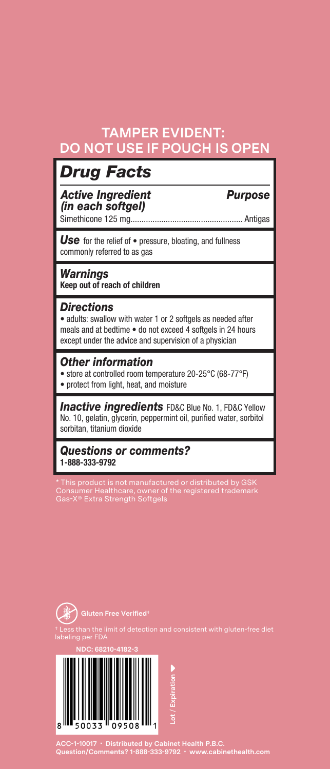## **TAMPER EVIDENT: DO NOT USE IF POUCH IS OPEN**

## *Drug Facts*

*Active Ingredient Purpose (in each softgel)* Simethicone 125 mg................................................... Antigas

*Use* for the relief of • pressure, bloating, and fullness commonly referred to as gas

*Warnings* **Keep out of reach of children**

#### *Directions*

• adults: swallow with water 1 or 2 softgels as needed after meals and at bedtime • do not exceed 4 softgels in 24 hours except under the advice and supervision of a physician

### *Other information*

• store at controlled room temperature 20-25°C (68-77°F)

• protect from light, heat, and moisture

**Inactive ingredients** FD&C Blue No. 1, FD&C Yellow No. 10, gelatin, glycerin, peppermint oil, purified water, sorbitol sorbitan, titanium dioxide

*Questions or comments?*  **1-888-333-9792**

\* This product is not manufactured or distributed by GSK Consumer Healthcare, owner of the registered trademark Gas-X® Extra Strength Softgels



**NDC: 68210-4182-3**



**ACC-1-10017 • Distributed by Cabinet Health P.B.C. Question/Comments? 1-888-333-9792 • www.cabinethealth.com**